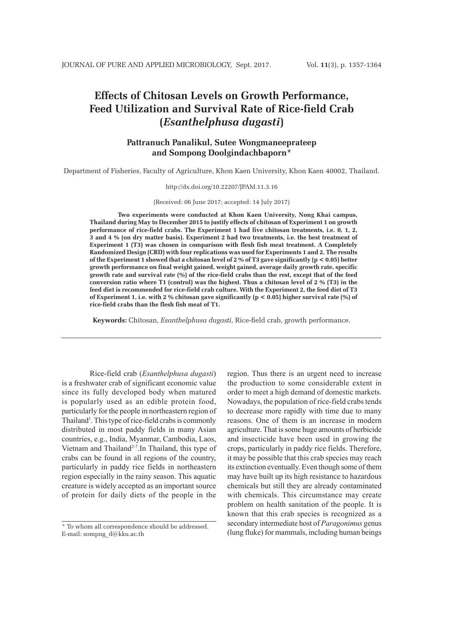# **Effects of Chitosan Levels on Growth Performance, Feed Utilization and Survival Rate of Rice-field Crab (***Esanthelphusa dugasti***)**

# **Pattranuch Panalikul, Sutee Wongmaneeprateep and Sompong Doolgindachbaporn\***

Department of Fisheries, Faculty of Agriculture, Khon Kaen University, Khon Kaen 40002, Thailand.

http://dx.doi.org/10.22207/JPAM.11.3.16

(Received: 06 June 2017; accepted: 14 July 2017)

**Two experiments were conducted at Khon Kaen University, Nong Khai campus, Thailand during May to December 2015 to justify effects of chitosan of Experiment 1 on growth performance of rice-field crabs. The Experiment 1 had five chitosan treatments, i.e. 0, 1, 2, 3 and 4 % (on dry matter basis). Experiment 2 had two treatments, i.e. the best treatment of Experiment 1 (T3) was chosen in comparison with flesh fish meat treatment. A Completely Randomized Design (CRD) with four replications was used for Experiments 1 and 2. The results of the Experiment 1 showed that a chitosan level of 2 % of T3 gave significantly (p < 0.05) better growth performance on final weight gained, weight gained, average daily growth rate, specific growth rate and survival rate (%) of the rice-field crabs than the rest, except that of the feed conversion ratio where T1 (control) was the highest. Thus a chitosan level of 2 % (T3) in the feed diet is recommended for rice-field crab culture. With the Experiment 2, the feed diet of T3 of Experiment 1, i.e. with 2 % chitosan gave significantly (p < 0.05) higher survival rate (%) of rice-field crabs than the flesh fish meat of T1.**

**Keywords:** Chitosan, *Esanthelphusa dugasti*, Rice-field crab, growth performance.

Rice-field crab (*Esanthelphusa dugasti*) is a freshwater crab of significant economic value since its fully developed body when matured is popularly used as an edible protein food, particularly for the people in northeastern region of Thailand<sup>1</sup>. This type of rice-field crabs is commonly distributed in most paddy fields in many Asian countries, e.g., India, Myanmar, Cambodia, Laos, Vietnam and Thailand<sup>2-7</sup>. In Thailand, this type of crabs can be found in all regions of the country, particularly in paddy rice fields in northeastern region especially in the rainy season. This aquatic creature is widely accepted as an important source of protein for daily diets of the people in the

region. Thus there is an urgent need to increase the production to some considerable extent in order to meet a high demand of domestic markets. Nowadays, the population of rice-field crabs tends to decrease more rapidly with time due to many reasons. One of them is an increase in modern agriculture. That is some huge amounts of herbicide and insecticide have been used in growing the crops, particularly in paddy rice fields. Therefore, it may be possible that this crab species may reach its extinction eventually. Even though some of them may have built up its high resistance to hazardous chemicals but still they are already contaminated with chemicals. This circumstance may create problem on health sanitation of the people. It is known that this crab species is recognized as a secondary intermediate host of *Paragonimus* genus (lung fluke) for mammals, including human beings

<sup>\*</sup> To whom all correspondence should be addressed. E-mail: sompng\_d@kku.ac.th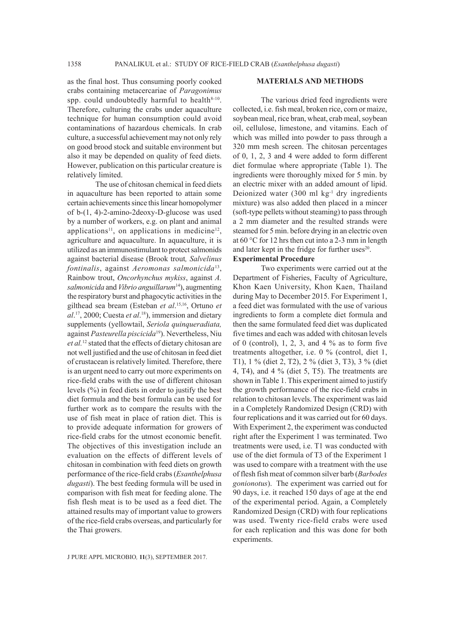as the final host. Thus consuming poorly cooked crabs containing metacercariae of *Paragonimus*  spp. could undoubtedly harmful to health $8-10$ . Therefore, culturing the crabs under aquaculture technique for human consumption could avoid contaminations of hazardous chemicals. In crab culture, a successful achievement may not only rely on good brood stock and suitable environment but also it may be depended on quality of feed diets. However, publication on this particular creature is relatively limited.

The use of chitosan chemical in feed diets in aquaculture has been reported to attain some certain achievements since this linear homopolymer of b-(1, 4)-2-amino-2deoxy-D-glucose was used by a number of workers, e.g. on plant and animal applications<sup>11</sup>, on applications in medicine<sup>12</sup>, agriculture and aquaculture. In aquaculture, it is utilized as an immunostimulant to protect salmonids against bacterial disease (Brook trout*, Salvelinus fontinalis*, against *Aeromonas salmonicida*13, Rainbow trout, *Oncorhynchus mykiss*, against *A. salmonicida* and *Vibrio anguillarum*14), augmenting the respiratory burst and phagocytic activities in the gilthead sea bream (Esteban *et al*. 15,16, Ortuno *et al*. 17, 2000; Cuesta *et al*. 18), immersion and dietary supplements (yellowtail, *Seriola quinqueradiata,* against *Pasteurella piscicida*19). Nevertheless, Niu *et al.*12 stated that the effects of dietary chitosan are not well justified and the use of chitosan in feed diet of crustacean is relatively limited. Therefore, there is an urgent need to carry out more experiments on rice-field crabs with the use of different chitosan levels (%) in feed diets in order to justify the best diet formula and the best formula can be used for further work as to compare the results with the use of fish meat in place of ration diet. This is to provide adequate information for growers of rice-field crabs for the utmost economic benefit. The objectives of this investigation include an evaluation on the effects of different levels of chitosan in combination with feed diets on growth performance of the rice-field crabs (*Esanthelphusa dugasti*). The best feeding formula will be used in comparison with fish meat for feeding alone. The fish flesh meat is to be used as a feed diet. The attained results may of important value to growers of the rice-field crabs overseas, and particularly for the Thai growers.

#### **MATERIALS AND METHODS**

The various dried feed ingredients were collected, i.e. fish meal, broken rice, corn or maize, soybean meal, rice bran, wheat, crab meal, soybean oil, cellulose, limestone, and vitamins. Each of which was milled into powder to pass through a 320 mm mesh screen. The chitosan percentages of 0, 1, 2, 3 and 4 were added to form different diet formulae where appropriate (Table 1). The ingredients were thoroughly mixed for 5 min. by an electric mixer with an added amount of lipid. Deionized water  $(300 \text{ ml kg}^{-1} \text{ dry ingredients})$ mixture) was also added then placed in a mincer (soft-type pellets without steaming) to pass through a 2 mm diameter and the resulted strands were steamed for 5 min. before drying in an electric oven at 60 °C for 12 hrs then cut into a 2-3 mm in length and later kept in the fridge for further uses $20$ . **Experimental Procedure**

Two experiments were carried out at the Department of Fisheries, Faculty of Agriculture, Khon Kaen University, Khon Kaen, Thailand during May to December 2015. For Experiment 1, a feed diet was formulated with the use of various ingredients to form a complete diet formula and then the same formulated feed diet was duplicated five times and each was added with chitosan levels of 0 (control), 1, 2, 3, and 4  $\%$  as to form five treatments altogether, i.e. 0 % (control, diet 1, T1), 1 % (diet 2, T2), 2 % (diet 3, T3), 3 % (diet 4, T4), and 4 % (diet 5, T5). The treatments are shown in Table 1. This experiment aimed to justify the growth performance of the rice-field crabs in relation to chitosan levels. The experiment was laid in a Completely Randomized Design (CRD) with four replications and it was carried out for 60 days. With Experiment 2, the experiment was conducted right after the Experiment 1 was terminated. Two treatments were used, i.e. T1 was conducted with use of the diet formula of T3 of the Experiment 1 was used to compare with a treatment with the use of flesh fish meat of common silver barb (*Barbodes gonionotus*). The experiment was carried out for 90 days, i.e. it reached 150 days of age at the end of the experimental period. Again, a Completely Randomized Design (CRD) with four replications was used. Twenty rice-field crabs were used for each replication and this was done for both experiments.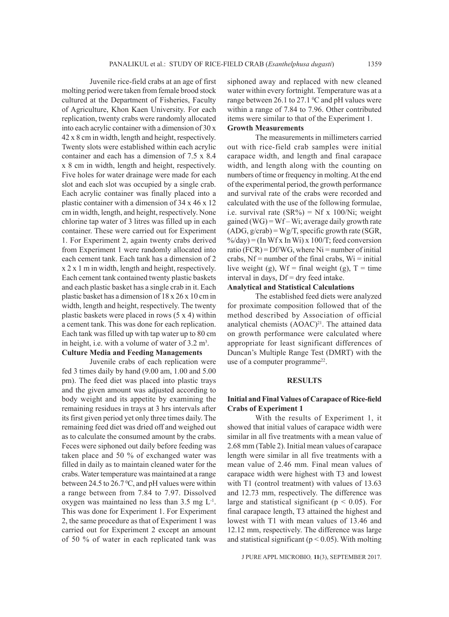Juvenile rice-field crabs at an age of first molting period were taken from female brood stock cultured at the Department of Fisheries, Faculty of Agriculture, Khon Kaen University. For each replication, twenty crabs were randomly allocated into each acrylic container with a dimension of 30 x 42 x 8 cm in width, length and height, respectively. Twenty slots were established within each acrylic container and each has a dimension of 7.5 x 8.4 x 8 cm in width, length and height, respectively. Five holes for water drainage were made for each slot and each slot was occupied by a single crab. Each acrylic container was finally placed into a plastic container with a dimension of 34 x 46 x 12 cm in width, length, and height, respectively. None chlorine tap water of 3 litres was filled up in each container. These were carried out for Experiment 1. For Experiment 2, again twenty crabs derived from Experiment 1 were randomly allocated into each cement tank. Each tank has a dimension of 2 x 2 x 1 m in width, length and height, respectively. Each cement tank contained twenty plastic baskets and each plastic basket has a single crab in it. Each plastic basket has a dimension of 18 x 26 x 10 cm in width, length and height, respectively. The twenty plastic baskets were placed in rows (5 x 4) within a cement tank. This was done for each replication. Each tank was filled up with tap water up to 80 cm in height, i.e. with a volume of water of  $3.2 \text{ m}^3$ .

### **Culture Media and Feeding Managements**

Juvenile crabs of each replication were fed 3 times daily by hand (9.00 am, 1.00 and 5.00 pm). The feed diet was placed into plastic trays and the given amount was adjusted according to body weight and its appetite by examining the remaining residues in trays at 3 hrs intervals after its first given period yet only three times daily. The remaining feed diet was dried off and weighed out as to calculate the consumed amount by the crabs. Feces were siphoned out daily before feeding was taken place and 50 % of exchanged water was filled in daily as to maintain cleaned water for the crabs. Water temperature was maintained at a range between 24.5 to 26.7  $\mathrm{^0C}$ , and pH values were within a range between from 7.84 to 7.97. Dissolved oxygen was maintained no less than 3.5 mg L-1. This was done for Experiment 1. For Experiment 2, the same procedure as that of Experiment 1 was carried out for Experiment 2 except an amount of 50 % of water in each replicated tank was

siphoned away and replaced with new cleaned water within every fortnight. Temperature was at a range between 26.1 to 27.1  $\rm{^0C}$  and pH values were within a range of 7.84 to 7.96. Other contributed items were similar to that of the Experiment 1. **Growth Measurements**

The measurements in millimeters carried out with rice-field crab samples were initial carapace width, and length and final carapace width, and length along with the counting on numbers of time or frequency in molting. At the end of the experimental period, the growth performance and survival rate of the crabs were recorded and calculated with the use of the following formulae, i.e. survival rate  $(SR\%) = Nf x 100/Ni$ ; weight gained  $(WG) = Wf - Wi$ ; average daily growth rate  $(ADG, g/crab) = Wg/T$ , specific growth rate (SGR,  $\%$  day) = (In Wf x In Wi) x 100/T; feed conversion ratio (FCR) =  $Df/WG$ , where Ni = number of initial crabs,  $Nf =$  number of the final crabs,  $Wi =$  initial live weight (g),  $Wf = final weight (g)$ ,  $T = time$ interval in days,  $Df = dry$  feed intake.

# **Analytical and Statistical Calculations**

The established feed diets were analyzed for proximate composition followed that of the method described by Association of official analytical chemists  $(AOAC)^{21}$ . The attained data on growth performance were calculated where appropriate for least significant differences of Duncan's Multiple Range Test (DMRT) with the use of a computer programme<sup>22</sup>.

#### **RESULTS**

## **Initial and Final Values of Carapace of Rice-field Crabs of Experiment 1**

With the results of Experiment 1, it showed that initial values of carapace width were similar in all five treatments with a mean value of 2.68 mm (Table 2). Initial mean values of carapace length were similar in all five treatments with a mean value of 2.46 mm. Final mean values of carapace width were highest with T3 and lowest with T1 (control treatment) with values of 13.63 and 12.73 mm, respectively. The difference was large and statistical significant ( $p < 0.05$ ). For final carapace length, T3 attained the highest and lowest with T1 with mean values of 13.46 and 12.12 mm, respectively. The difference was large and statistical significant ( $p < 0.05$ ). With molting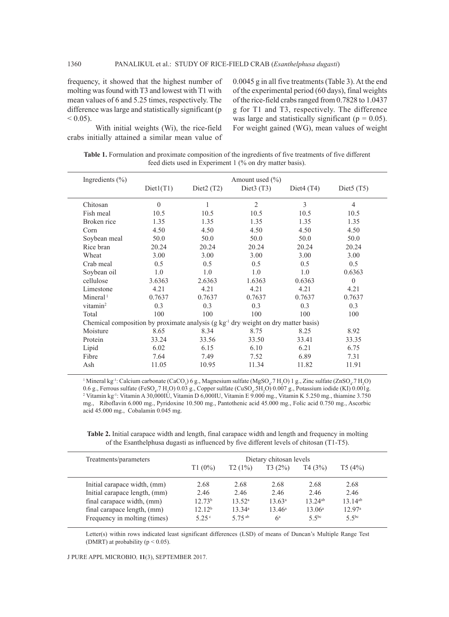frequency, it showed that the highest number of molting was found with T3 and lowest with T1 with mean values of 6 and 5.25 times, respectively. The difference was large and statistically significant (p  $< 0.05$ ).

With initial weights (Wi), the rice-field crabs initially attained a similar mean value of 0.0045 g in all five treatments (Table 3). At the end of the experimental period (60 days), final weights of the rice-field crabs ranged from 0.7828 to 1.0437 g for T1 and T3, respectively. The difference was large and statistically significant ( $p = 0.05$ ). For weight gained (WG), mean values of weight

**Table 1.** Formulation and proximate composition of the ingredients of five treatments of five different feed diets used in Experiment 1 (% on dry matter basis).

| Ingredients $(\% )$  |                                                                                        |                          | Amount used $(\% )$      |              |                          |
|----------------------|----------------------------------------------------------------------------------------|--------------------------|--------------------------|--------------|--------------------------|
|                      | Diet1(T1)                                                                              | Diet <sub>2</sub> $(T2)$ | Diet <sub>3</sub> $(T3)$ | Diet $4(T4)$ | Diet <sub>5</sub> $(T5)$ |
| Chitosan             | $\theta$                                                                               | 1                        | $\overline{2}$           | 3            | $\overline{4}$           |
| Fish meal            | 10.5                                                                                   | 10.5                     | 10.5                     | 10.5         | 10.5                     |
| Broken rice          | 1.35                                                                                   | 1.35                     | 1.35                     | 1.35         | 1.35                     |
| Corn                 | 4.50                                                                                   | 4.50                     | 4.50                     | 4.50         | 4.50                     |
| Soybean meal         | 50.0                                                                                   | 50.0                     | 50.0                     | 50.0         | 50.0                     |
| Rice bran            | 20.24                                                                                  | 20.24                    | 20.24                    | 20.24        | 20.24                    |
| Wheat                | 3.00                                                                                   | 3.00                     | 3.00                     | 3.00         | 3.00                     |
| Crab meal            | 0.5                                                                                    | 0.5                      | 0.5                      | 0.5          | 0.5                      |
| Soybean oil          | 1.0                                                                                    | 1.0                      | 1.0                      | 1.0          | 0.6363                   |
| cellulose            | 3.6363                                                                                 | 2.6363                   | 1.6363                   | 0.6363       | $\theta$                 |
| Limestone            | 4.21                                                                                   | 4.21                     | 4.21                     | 4.21         | 4.21                     |
| Mineral <sup>1</sup> | 0.7637                                                                                 | 0.7637                   | 0.7637                   | 0.7637       | 0.7637                   |
| vitamin $2$          | 0.3                                                                                    | 0.3                      | 0.3                      | 0.3          | 0.3                      |
| Total                | 100                                                                                    | 100                      | 100                      | 100          | 100                      |
|                      | Chemical composition by proximate analysis $(g \ kg-1$ dry weight on dry matter basis) |                          |                          |              |                          |
| Moisture             | 8.65                                                                                   | 8.34                     | 8.75                     | 8.25         | 8.92                     |
| Protein              | 33.24                                                                                  | 33.56                    | 33.50                    | 33.41        | 33.35                    |
| Lipid                | 6.02                                                                                   | 6.15                     | 6.10                     | 6.21         | 6.75                     |
| Fibre                | 7.64                                                                                   | 7.49                     | 7.52                     | 6.89         | 7.31                     |
| Ash                  | 11.05                                                                                  | 10.95                    | 11.34                    | 11.82        | 11.91                    |

<sup>1</sup> Mineral kg<sup>-1</sup>: Calcium carbonate (CaCO<sub>3</sub>) 6 g., Magnesium sulfate (MgSO<sub>4</sub>.7 H<sub>2</sub>O) 1 g., Zinc sulfate (ZnSO<sub>4</sub>.7 H<sub>2</sub>O) 0.6 g., Ferrous sulfate (FeSO<sub>4</sub>.7 H<sub>2</sub>O) 0.03 g., Copper sulfate (CuSO<sub>4</sub>.5H<sub>2</sub>O) 0.007 g., Potassium iodide (KI) 0.001g.<br><sup>2</sup> Vitamin ka<sup>-1</sup>: Vitamin A 30.000II I Vitamin D 6.000II I Vitamin E 9.000 mg. Vitamin K 5.250 m Vitamin kg-1: Vitamin A 30,000IU, Vitamin D 6,000IU, Vitamin E 9.000 mg., Vitamin K 5.250 mg., thiamine 3.750 mg., Riboflavin 6.000 mg., Pyridoxine 10.500 mg., Pantothenic acid 45.000 mg., Folic acid 0.750 mg., Ascorbic acid 45.000 mg., Cobalamin 0.045 mg.

**Table 2.** Initial carapace width and length, final carapace width and length and frequency in molting of the Esanthelphusa dugasti as influenced by five different levels of chitosan (T1-T5).

| Treatments/parameters         |                    |                    | Dietary chitosan levels |                    |                    |  |  |
|-------------------------------|--------------------|--------------------|-------------------------|--------------------|--------------------|--|--|
|                               | T1(0%)             | T2(1%)             | T3(2%)                  | T4(3%)             | T5(4%)             |  |  |
| Initial carapace width, (mm)  | 2.68               | 2.68               | 2.68                    | 2.68               | 2.68               |  |  |
| Initial carapace length, (mm) | 2.46               | 2.46               | 2.46                    | 2.46               | 2.46               |  |  |
| final carapace width, (mm)    | 12.73 <sup>b</sup> | 13.52 <sup>a</sup> | $13.63^a$               | $13.24^{ab}$       | $13.14^{ab}$       |  |  |
| final carapace length, (mm)   | 12.12 <sup>b</sup> | 13.34a             | $13.46^a$               | 13.06 <sup>a</sup> | 12.97 <sup>a</sup> |  |  |
| Frequency in molting (times)  | 5 2.5 $^{\circ}$   | 5 75 <sup>ab</sup> | $6^a$                   | 5.5 <sup>bc</sup>  | 5.5 <sup>bc</sup>  |  |  |
|                               |                    |                    |                         |                    |                    |  |  |

Letter(s) within rows indicated least significant differences (LSD) of means of Duncan's Multiple Range Test (DMRT) at probability ( $p < 0.05$ ).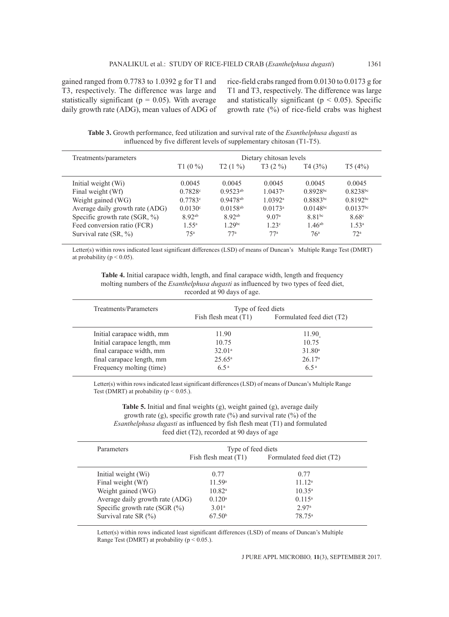gained ranged from 0.7783 to 1.0392 g for T1 and T3, respectively. The difference was large and statistically significant ( $p = 0.05$ ). With average daily growth rate (ADG), mean values of ADG of rice-field crabs ranged from 0.0130 to 0.0173 g for T1 and T3, respectively. The difference was large and statistically significant ( $p < 0.05$ ). Specific growth rate (%) of rice-field crabs was highest

**Table 3.** Growth performance, feed utilization and survival rate of the *Esanthelphusa dugasti* as influenced by five different levels of supplementary chitosan (T1-T5).

| Treatments/parameters           |                    |                    | Dietary chitosan levels |                 |                        |
|---------------------------------|--------------------|--------------------|-------------------------|-----------------|------------------------|
|                                 | $T1(0\%)$          | $T2(1\%)$          | $T3(2\%)$               | T4(3%)          | T5(4%)                 |
| Initial weight (Wi)             | 0.0045             | 0.0045             | 0.0045                  | 0.0045          | 0.0045                 |
| Final weight (Wf)               | 0.7828c            | $0.9523^{ab}$      | $1.0437$ <sup>a</sup>   | $0.8928^{bc}$   | $0.8238^{bc}$          |
| Weight gained (WG)              | 0.7783c            | $0.9478^{ab}$      | 1.0392a                 | $0.8883^{bc}$   | $0.8192^{bc}$          |
| Average daily growth rate (ADG) | $0.0130^{\circ}$   | $0.0158^{ab}$      | $0.0173^a$              | $0.0148^{bc}$   | $0.0137$ <sup>bc</sup> |
| Specific growth rate $(SGR, %)$ | 8.92 <sup>ab</sup> | 892ab              | 9.07 <sup>a</sup>       | $8.81^{bc}$     | 8.68c                  |
| Feed conversion ratio (FCR)     | $1.55^{\rm a}$     | 1.29 <sup>bc</sup> | 1.23c                   | $1.46^{ab}$     | 1.53 <sup>a</sup>      |
| Survival rate $(SR, %)$         | 75 <sup>a</sup>    | 77 <sup>a</sup>    | $77^a$                  | 76 <sup>a</sup> | 72 <sup>a</sup>        |

Letter(s) within rows indicated least significant differences (LSD) of means of Duncan's Multiple Range Test (DMRT) at probability ( $p < 0.05$ ).

**Table 4.** Initial carapace width, length, and final carapace width, length and frequency molting numbers of the *Esanthelphusa dugasti* as influenced by two types of feed diet, recorded at 90 days of age.

| Treatments/Parameters       | Type of feed diets     |                           |  |  |
|-----------------------------|------------------------|---------------------------|--|--|
|                             | Fish flesh meat $(T1)$ | Formulated feed diet (T2) |  |  |
| Initial carapace width, mm  | 11.90                  | 11.90                     |  |  |
| Initial carapace length, mm | 10.75                  | 10.75                     |  |  |
| final carapace width, mm    | 32.01 <sup>a</sup>     | 31.80 <sup>a</sup>        |  |  |
| final carapace length, mm   | $25.65^{\rm a}$        | 26.17 <sup>a</sup>        |  |  |
| Frequency molting (time)    | $6.5^{\rm a}$          | $6.5^{\rm a}$             |  |  |

Letter(s) within rows indicated least significant differences (LSD) of means of Duncan's Multiple Range Test (DMRT) at probability ( $p \le 0.05$ .).

**Table 5.** Initial and final weights (g), weight gained (g), average daily growth rate (g), specific growth rate  $(\%)$  and survival rate  $(\%)$  of the *Esanthelphusa dugasti* as influenced by fish flesh meat (T1) and formulated feed diet (T2), recorded at 90 days of age

| Parameters                      | Type of feed diets     |                           |  |  |
|---------------------------------|------------------------|---------------------------|--|--|
|                                 | Fish flesh meat $(T1)$ | Formulated feed diet (T2) |  |  |
| Initial weight (Wi)             | 0.77                   | 0.77                      |  |  |
| Final weight (Wf)               | 11.59 <sup>a</sup>     | 11.12 <sup>a</sup>        |  |  |
| Weight gained (WG)              | 10.82 <sup>a</sup>     | $10.35^{\circ}$           |  |  |
| Average daily growth rate (ADG) | 0.120 <sup>a</sup>     | $0.115^a$                 |  |  |
| Specific growth rate (SGR (%)   | 3.01 <sup>a</sup>      | 2.97 <sup>a</sup>         |  |  |
| Survival rate SR $(\% )$        | 67.50 <sup>b</sup>     | 78 75 <sup>a</sup>        |  |  |

Letter(s) within rows indicated least significant differences (LSD) of means of Duncan's Multiple Range Test (DMRT) at probability ( $p < 0.05$ .).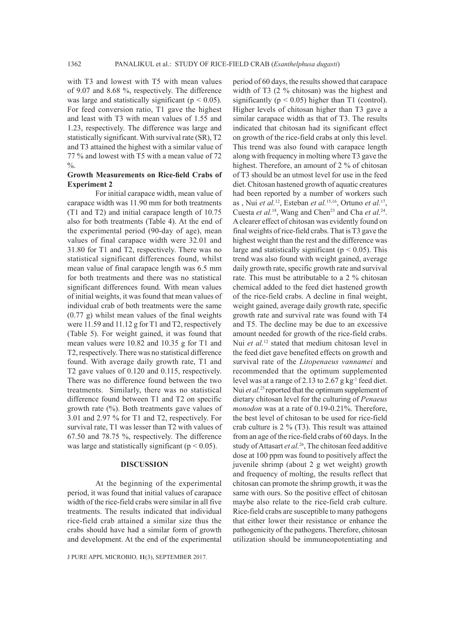with T3 and lowest with T5 with mean values of 9.07 and 8.68 %, respectively. The difference was large and statistically significant ( $p < 0.05$ ). For feed conversion ratio, T1 gave the highest and least with T3 with mean values of 1.55 and 1.23, respectively. The difference was large and statistically significant. With survival rate (SR), T2 and T3 attained the highest with a similar value of 77 % and lowest with T5 with a mean value of 72  $\frac{0}{6}$ .

### **Growth Measurements on Rice-field Crabs of Experiment 2**

For initial carapace width, mean value of carapace width was 11.90 mm for both treatments (T1 and T2) and initial carapace length of 10.75 also for both treatments (Table 4). At the end of the experimental period (90-day of age), mean values of final carapace width were 32.01 and 31.80 for T1 and T2, respectively. There was no statistical significant differences found, whilst mean value of final carapace length was 6.5 mm for both treatments and there was no statistical significant differences found. With mean values of initial weights, it was found that mean values of individual crab of both treatments were the same (0.77 g) whilst mean values of the final weights were 11.59 and 11.12 g for T1 and T2, respectively (Table 5). For weight gained, it was found that mean values were 10.82 and 10.35 g for T1 and T2, respectively. There was no statistical difference found. With average daily growth rate, T1 and T2 gave values of 0.120 and 0.115, respectively. There was no difference found between the two treatments. Similarly, there was no statistical difference found between T1 and T2 on specific growth rate (%). Both treatments gave values of 3.01 and 2.97 % for T1 and T2, respectively. For survival rate, T1 was lesser than T2 with values of 67.50 and 78.75 %, respectively. The difference was large and statistically significant ( $p < 0.05$ ).

#### **DISCUSSION**

At the beginning of the experimental period, it was found that initial values of carapace width of the rice-field crabs were similar in all five treatments. The results indicated that individual rice-field crab attained a similar size thus the crabs should have had a similar form of growth and development. At the end of the experimental

J PURE APPL MICROBIO*,* **11**(3), SEPTEMBER 2017.

period of 60 days, the results showed that carapace width of T3 (2 % chitosan) was the highest and significantly ( $p < 0.05$ ) higher than T1 (control). Higher levels of chitosan higher than T3 gave a similar carapace width as that of T3. The results indicated that chitosan had its significant effect on growth of the rice-field crabs at only this level. This trend was also found with carapace length along with frequency in molting where T3 gave the highest. Therefore, an amount of 2 % of chitosan of T3 should be an utmost level for use in the feed diet. Chitosan hastened growth of aquatic creatures had been reported by a number of workers such as , Nui *et al.*12, Esteban *et al.*15,16, Ortuno *et al.*17, Cuesta *et al.*<sup>18</sup>, Wang and Chen<sup>23</sup> and Cha *et al.*<sup>24</sup>. A clearer effect of chitosan was evidently found on final weights of rice-field crabs. That is T3 gave the highest weight than the rest and the difference was large and statistically significant ( $p < 0.05$ ). This trend was also found with weight gained, average daily growth rate, specific growth rate and survival rate. This must be attributable to a 2 % chitosan chemical added to the feed diet hastened growth of the rice-field crabs. A decline in final weight, weight gained, average daily growth rate, specific growth rate and survival rate was found with T4 and T5. The decline may be due to an excessive amount needed for growth of the rice-field crabs. Nui *et al.*<sup>12</sup> stated that medium chitosan level in the feed diet gave benefited effects on growth and survival rate of the *Litopenaeus vannamei* and recommended that the optimum supplemented level was at a range of 2.13 to 2.67 g kg-1 feed diet. Nui *et al.*<sup>25</sup> reported that the optimum supplement of dietary chitosan level for the culturing of *Penaeus monodon* was at a rate of 0.19-0.21%. Therefore, the best level of chitosan to be used for rice-field crab culture is 2 % (T3). This result was attained from an age of the rice-field crabs of 60 days. In the study of Attasart *et al.*26, The chitosan feed additive dose at 100 ppm was found to positively affect the juvenile shrimp (about 2 g wet weight) growth and frequency of molting, the results reflect that chitosan can promote the shrimp growth, it was the same with ours. So the positive effect of chitosan maybe also relate to the rice-field crab culture. Rice-field crabs are susceptible to many pathogens that either lower their resistance or enhance the pathogenicity of the pathogens. Therefore, chitosan utilization should be immuneopotentiating and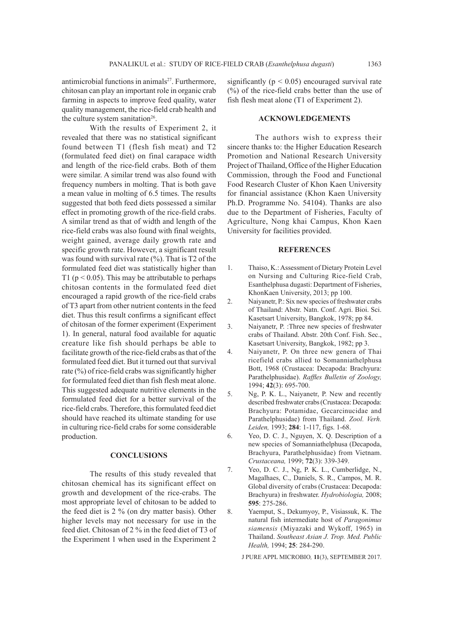antimicrobial functions in animals<sup>27</sup>. Furthermore, chitosan can play an important role in organic crab farming in aspects to improve feed quality, water quality management, the rice-field crab health and the culture system sanitation<sup>26</sup>.

With the results of Experiment 2, it revealed that there was no statistical significant found between T1 (flesh fish meat) and T2 (formulated feed diet) on final carapace width and length of the rice-field crabs. Both of them were similar. A similar trend was also found with frequency numbers in molting. That is both gave a mean value in molting of 6.5 times. The results suggested that both feed diets possessed a similar effect in promoting growth of the rice-field crabs. A similar trend as that of width and length of the rice-field crabs was also found with final weights, weight gained, average daily growth rate and specific growth rate. However, a significant result was found with survival rate  $(\%)$ . That is T2 of the formulated feed diet was statistically higher than T1 ( $p < 0.05$ ). This may be attributable to perhaps chitosan contents in the formulated feed diet encouraged a rapid growth of the rice-field crabs of T3 apart from other nutrient contents in the feed diet. Thus this result confirms a significant effect of chitosan of the former experiment (Experiment 1). In general, natural food available for aquatic creature like fish should perhaps be able to facilitate growth of the rice-field crabs as that of the formulated feed diet. But it turned out that survival rate (%) of rice-field crabs was significantly higher for formulated feed diet than fish flesh meat alone. This suggested adequate nutritive elements in the formulated feed diet for a better survival of the rice-field crabs. Therefore, this formulated feed diet should have reached its ultimate standing for use in culturing rice-field crabs for some considerable production.

### **CONCLUSIONS**

The results of this study revealed that chitosan chemical has its significant effect on growth and development of the rice-crabs. The most appropriate level of chitosan to be added to the feed diet is 2 % (on dry matter basis). Other higher levels may not necessary for use in the feed diet. Chitosan of 2 % in the feed diet of T3 of the Experiment 1 when used in the Experiment 2

significantly ( $p < 0.05$ ) encouraged survival rate (%) of the rice-field crabs better than the use of fish flesh meat alone (T1 of Experiment 2).

#### **ACKNOWLEDGEMENTS**

The authors wish to express their sincere thanks to: the Higher Education Research Promotion and National Research University Project of Thailand, Office of the Higher Education Commission, through the Food and Functional Food Research Cluster of Khon Kaen University for financial assistance (Khon Kaen University Ph.D. Programme No. 54104). Thanks are also due to the Department of Fisheries, Faculty of Agriculture, Nong khai Campus, Khon Kaen University for facilities provided.

### **REFERENCES**

- 1. Thaiso, K.: Assessment of Dietary Protein Level on Nursing and Culturing Rice-field Crab, Esanthelphusa dugasti: Department of Fisheries, KhonKaen University, 2013; pp 100.
- 2. Naiyanetr, P.: Six new species of freshwater crabs of Thailand: Abstr. Natn. Conf. Agri. Bioi. Sci. Kasetsart University, Bangkok, 1978; pp 84.
- 3. Naiyanetr, P. :Three new species of freshwater crabs of Thailand. Abstr. 20th Conf. Fish. Sec., Kasetsart University, Bangkok, 1982; pp 3.
- 4. Naiyanetr, P. On three new genera of Thai ricefield crabs allied to Somanniathelphusa Bott, 1968 (Crustacea: Decapoda: Brachyura: Parathelphusidae). *Raffles Bulletin of Zoology,*  1994; **42**(3): 695-700.
- 5. Ng, P. K. L., Naiyanetr, P. New and recently described freshwater crabs (Crustacea: Decapoda: Brachyura: Potamidae, Gecarcinucidae and Parathelphusidae) from Thailand. *Zool. Verh. Leiden,* 1993; **284**: 1-117, figs. 1-68.
- 6. Yeo, D. C. J., Nguyen, X. Q. Description of a new species of Somanniathelphusa (Decapoda, Brachyura, Parathelphusidae) from Vietnam. *Crustaceana,* 1999; **72**(3): 339-349.
- 7. Yeo, D. C. J., Ng, P. K. L., Cumberlidge, N., Magalhaes, C., Daniels, S. R., Campos, M. R. Global diversity of crabs (Crustacea: Decapoda: Brachyura) in freshwater. *Hydrobiologia,* 2008; **595**: 275-286.
- 8. Yaemput, S., Dekumyoy, P., Visiassuk, K. The natural fish intermediate host of *Paragonimus siamensis* (Miyazaki and Wykoff, 1965) in Thailand. *Southeast Asian J. Trop. Med. Public Health,* 1994; **25**: 284-290.